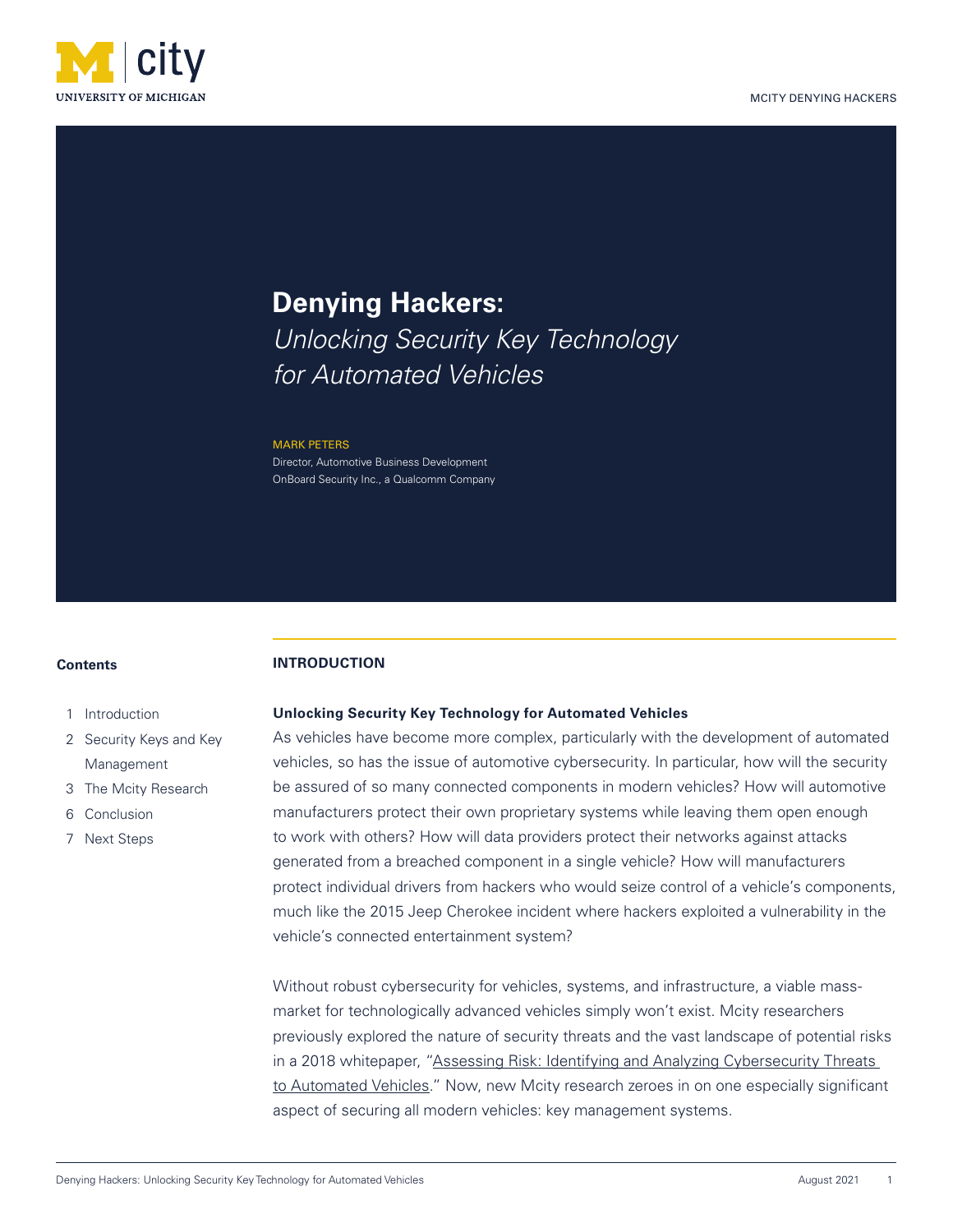

# **Denying Hackers:** *Unlocking Security Key Technology for Automated Vehicles*

#### MARK PETERS

Director, Automotive Business Development OnBoard Security Inc., a Qualcomm Company

#### **Contents**

#### **INTRODUCTION**

- 1 Introduction
- 2 Security Keys and Key Management
- 3 The Mcity Research
- 6 Conclusion
- 7 Next Steps

## **Unlocking Security Key Technology for Automated Vehicles**

As vehicles have become more complex, particularly with the development of automated vehicles, so has the issue of automotive cybersecurity. In particular, how will the security be assured of so many connected components in modern vehicles? How will automotive manufacturers protect their own proprietary systems while leaving them open enough to work with others? How will data providers protect their networks against attacks generated from a breached component in a single vehicle? How will manufacturers protect individual drivers from hackers who would seize control of a vehicle's components, much like the 2015 Jeep Cherokee incident where hackers exploited a vulnerability in the vehicle's connected entertainment system?

Without robust cybersecurity for vehicles, systems, and infrastructure, a viable massmarket for technologically advanced vehicles simply won't exist. Mcity researchers previously explored the nature of security threats and the vast landscape of potential risks in a 2018 whitepaper, "Assessing Risk: Identifying and Analyzing Cybersecurity Threats to Automated Vehicles." Now, new Mcity research zeroes in on one especially significant aspect of securing all modern vehicles: key management systems.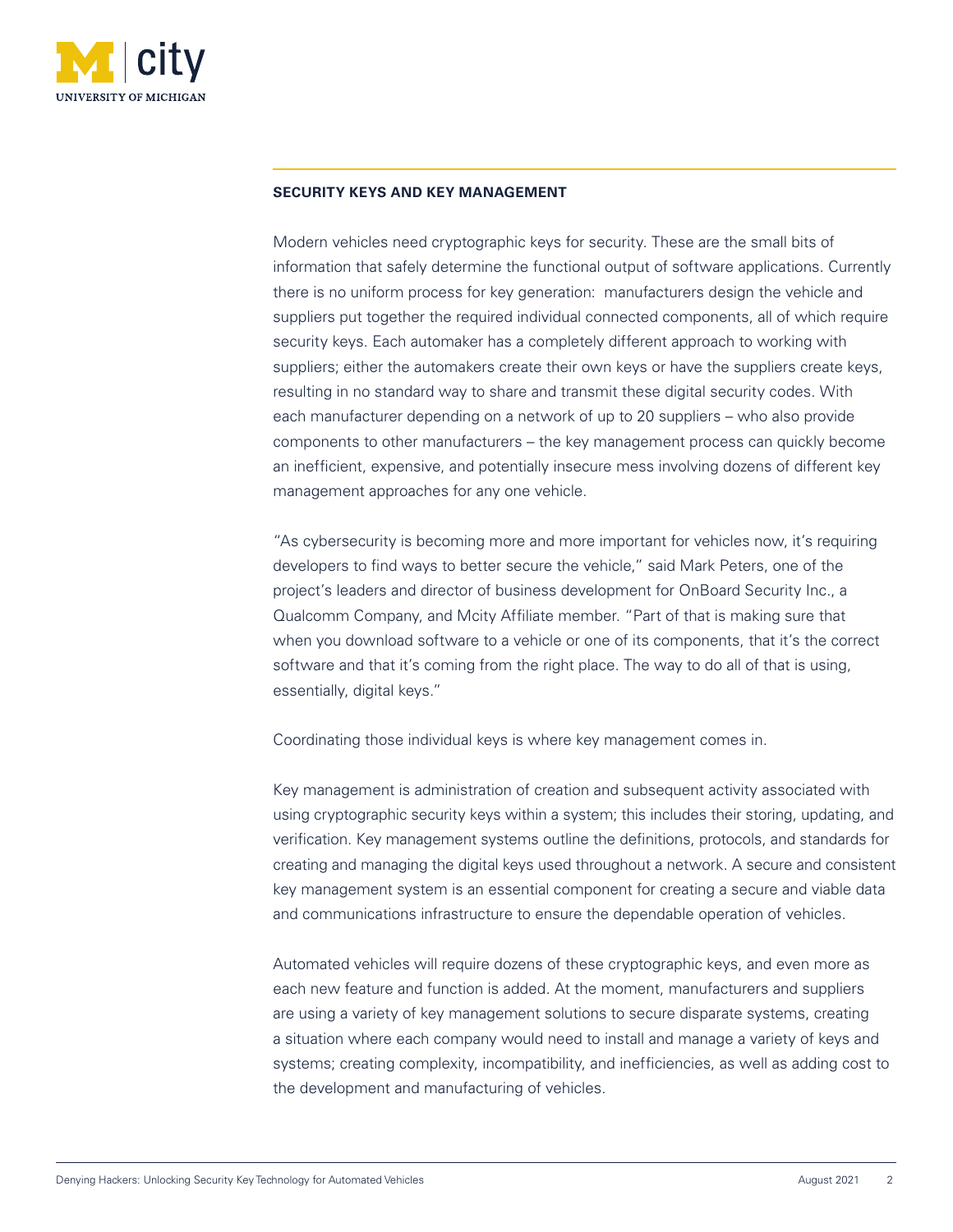

## **SECURITY KEYS AND KEY MANAGEMENT**

Modern vehicles need cryptographic keys for security. These are the small bits of information that safely determine the functional output of software applications. Currently there is no uniform process for key generation: manufacturers design the vehicle and suppliers put together the required individual connected components, all of which require security keys. Each automaker has a completely different approach to working with suppliers; either the automakers create their own keys or have the suppliers create keys, resulting in no standard way to share and transmit these digital security codes. With each manufacturer depending on a network of up to 20 suppliers – who also provide components to other manufacturers – the key management process can quickly become an inefficient, expensive, and potentially insecure mess involving dozens of different key management approaches for any one vehicle.

"As cybersecurity is becoming more and more important for vehicles now, it's requiring developers to find ways to better secure the vehicle," said Mark Peters, one of the project's leaders and director of business development for OnBoard Security Inc., a Qualcomm Company, and Mcity Affiliate member. "Part of that is making sure that when you download software to a vehicle or one of its components, that it's the correct software and that it's coming from the right place. The way to do all of that is using, essentially, digital keys."

Coordinating those individual keys is where key management comes in.

Key management is administration of creation and subsequent activity associated with using cryptographic security keys within a system; this includes their storing, updating, and verification. Key management systems outline the definitions, protocols, and standards for creating and managing the digital keys used throughout a network. A secure and consistent key management system is an essential component for creating a secure and viable data and communications infrastructure to ensure the dependable operation of vehicles.

Automated vehicles will require dozens of these cryptographic keys, and even more as each new feature and function is added. At the moment, manufacturers and suppliers are using a variety of key management solutions to secure disparate systems, creating a situation where each company would need to install and manage a variety of keys and systems; creating complexity, incompatibility, and inefficiencies, as well as adding cost to the development and manufacturing of vehicles.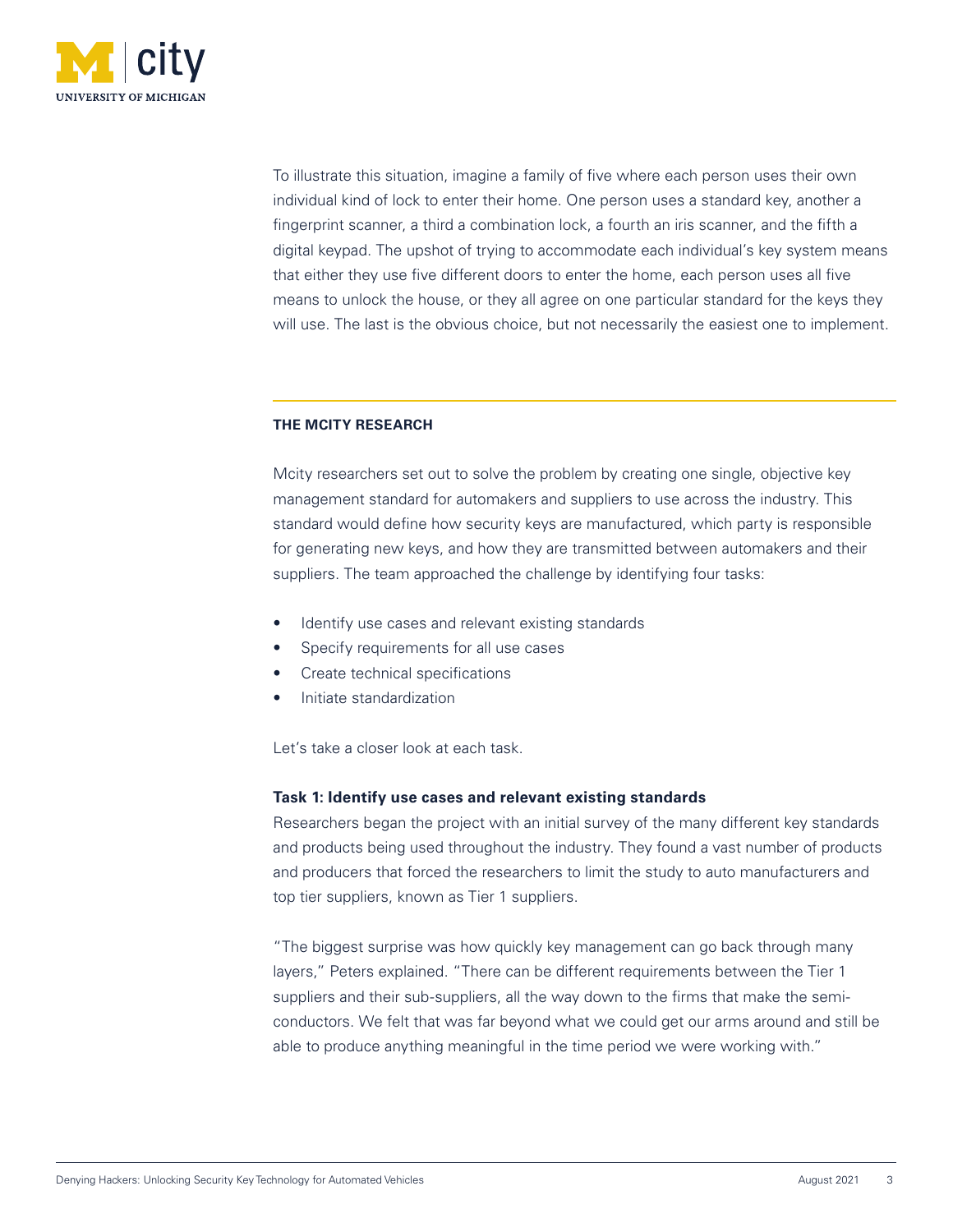

To illustrate this situation, imagine a family of five where each person uses their own individual kind of lock to enter their home. One person uses a standard key, another a fingerprint scanner, a third a combination lock, a fourth an iris scanner, and the fifth a digital keypad. The upshot of trying to accommodate each individual's key system means that either they use five different doors to enter the home, each person uses all five means to unlock the house, or they all agree on one particular standard for the keys they will use. The last is the obvious choice, but not necessarily the easiest one to implement.

# **THE MCITY RESEARCH**

Mcity researchers set out to solve the problem by creating one single, objective key management standard for automakers and suppliers to use across the industry. This standard would define how security keys are manufactured, which party is responsible for generating new keys, and how they are transmitted between automakers and their suppliers. The team approached the challenge by identifying four tasks:

- Identify use cases and relevant existing standards
- Specify requirements for all use cases
- Create technical specifications
- Initiate standardization

Let's take a closer look at each task.

# **Task 1: Identify use cases and relevant existing standards**

Researchers began the project with an initial survey of the many different key standards and products being used throughout the industry. They found a vast number of products and producers that forced the researchers to limit the study to auto manufacturers and top tier suppliers, known as Tier 1 suppliers.

"The biggest surprise was how quickly key management can go back through many layers," Peters explained. "There can be different requirements between the Tier 1 suppliers and their sub-suppliers, all the way down to the firms that make the semiconductors. We felt that was far beyond what we could get our arms around and still be able to produce anything meaningful in the time period we were working with."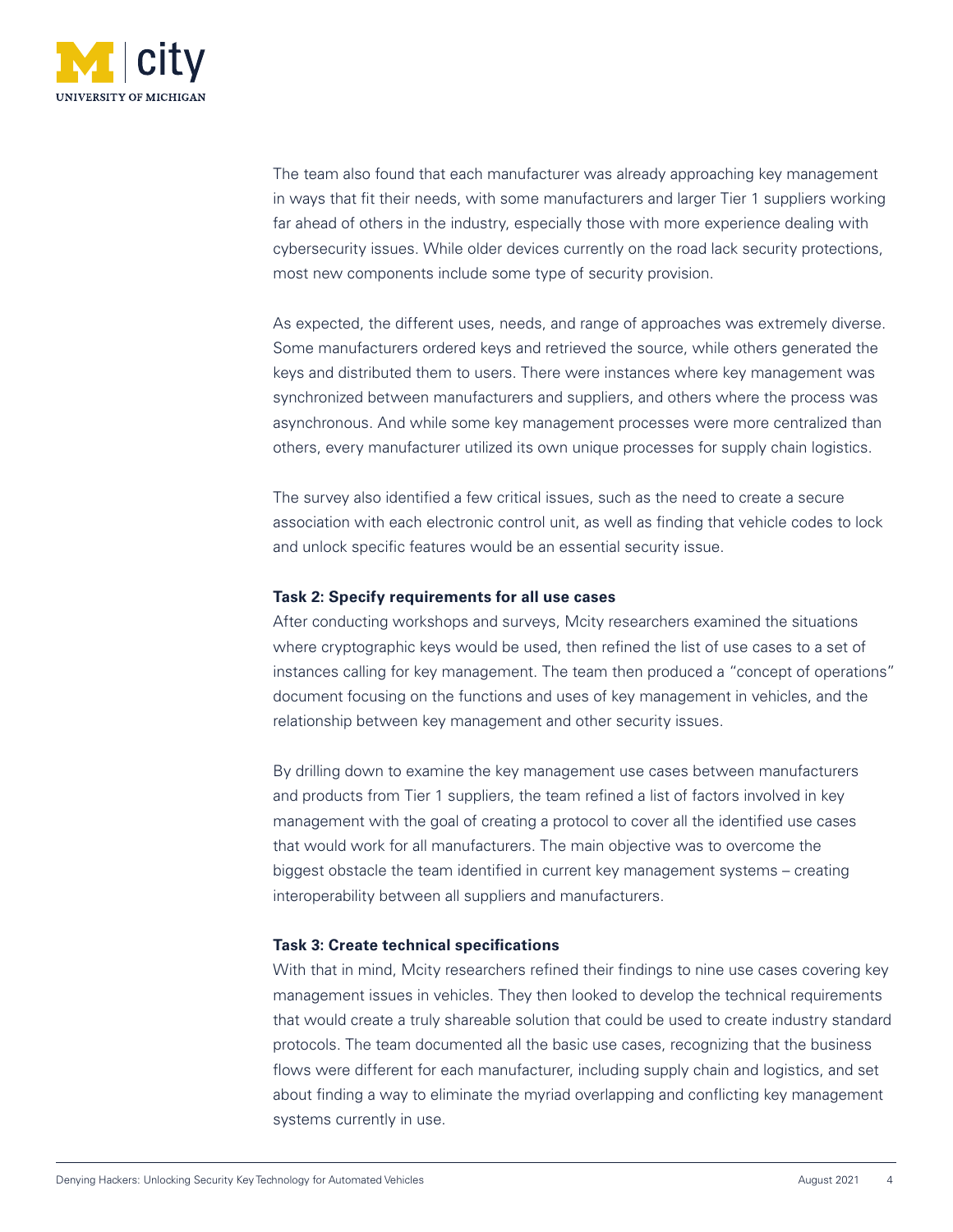

The team also found that each manufacturer was already approaching key management in ways that fit their needs, with some manufacturers and larger Tier 1 suppliers working far ahead of others in the industry, especially those with more experience dealing with cybersecurity issues. While older devices currently on the road lack security protections, most new components include some type of security provision.

As expected, the different uses, needs, and range of approaches was extremely diverse. Some manufacturers ordered keys and retrieved the source, while others generated the keys and distributed them to users. There were instances where key management was synchronized between manufacturers and suppliers, and others where the process was asynchronous. And while some key management processes were more centralized than others, every manufacturer utilized its own unique processes for supply chain logistics.

The survey also identified a few critical issues, such as the need to create a secure association with each electronic control unit, as well as finding that vehicle codes to lock and unlock specific features would be an essential security issue.

#### **Task 2: Specify requirements for all use cases**

After conducting workshops and surveys, Mcity researchers examined the situations where cryptographic keys would be used, then refined the list of use cases to a set of instances calling for key management. The team then produced a "concept of operations" document focusing on the functions and uses of key management in vehicles, and the relationship between key management and other security issues.

By drilling down to examine the key management use cases between manufacturers and products from Tier 1 suppliers, the team refined a list of factors involved in key management with the goal of creating a protocol to cover all the identified use cases that would work for all manufacturers. The main objective was to overcome the biggest obstacle the team identified in current key management systems – creating interoperability between all suppliers and manufacturers.

## **Task 3: Create technical specifications**

With that in mind, Mcity researchers refined their findings to nine use cases covering key management issues in vehicles. They then looked to develop the technical requirements that would create a truly shareable solution that could be used to create industry standard protocols. The team documented all the basic use cases, recognizing that the business flows were different for each manufacturer, including supply chain and logistics, and set about finding a way to eliminate the myriad overlapping and conflicting key management systems currently in use.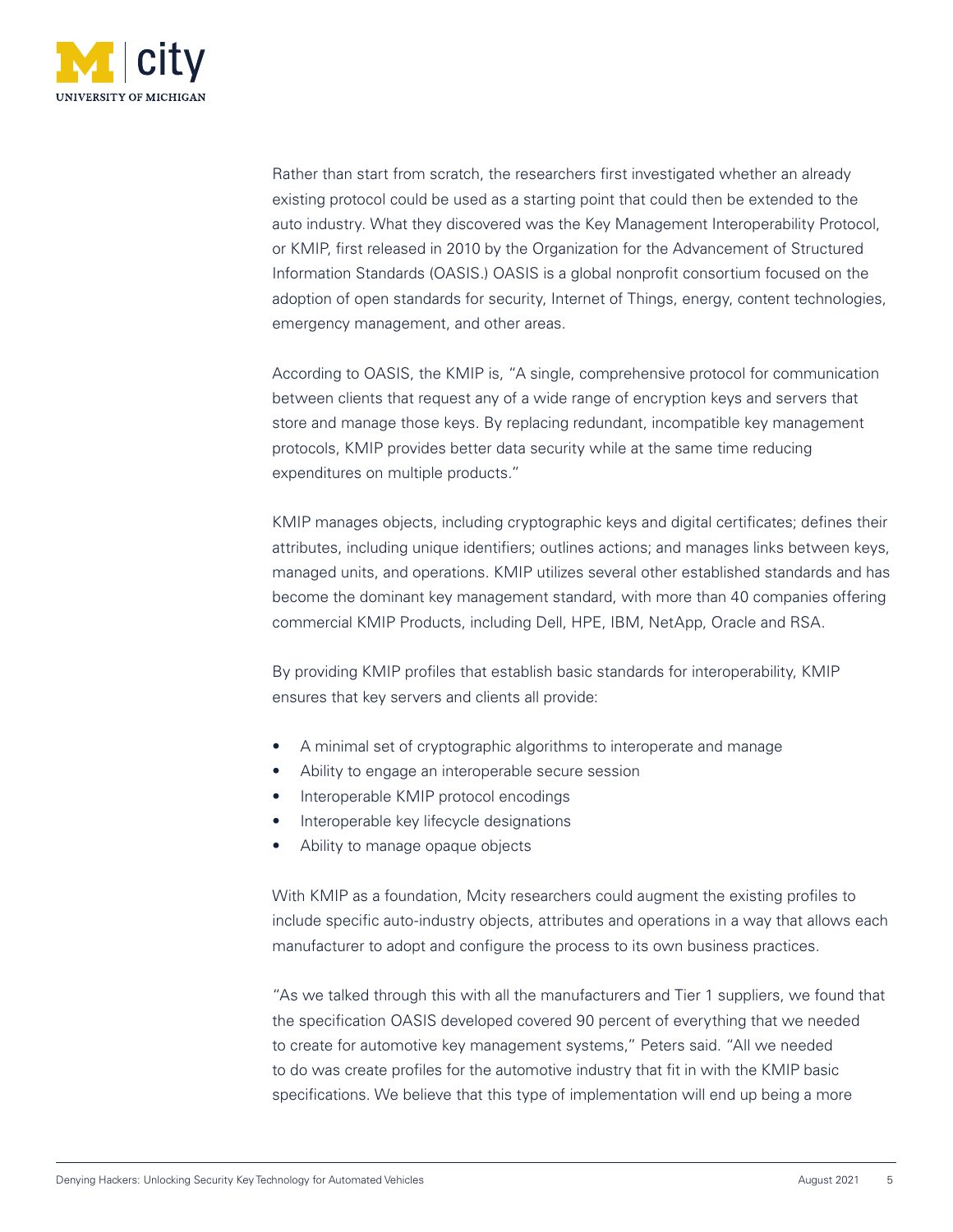

Rather than start from scratch, the researchers first investigated whether an already existing protocol could be used as a starting point that could then be extended to the auto industry. What they discovered was the Key Management Interoperability Protocol, or KMIP, first released in 2010 by the Organization for the Advancement of Structured Information Standards (OASIS.) OASIS is a global nonprofit consortium focused on the adoption of open standards for security, Internet of Things, energy, content technologies, emergency management, and other areas.

According to OASIS, the KMIP is, "A single, comprehensive protocol for communication between clients that request any of a wide range of encryption keys and servers that store and manage those keys. By replacing redundant, incompatible key management protocols, KMIP provides better data security while at the same time reducing expenditures on multiple products."

KMIP manages objects, including cryptographic keys and digital certificates; defines their attributes, including unique identifiers; outlines actions; and manages links between keys, managed units, and operations. KMIP utilizes several other established standards and has become the dominant key management standard, with more than 40 companies offering commercial KMIP Products, including Dell, HPE, IBM, NetApp, Oracle and RSA.

By providing KMIP profiles that establish basic standards for interoperability, KMIP ensures that key servers and clients all provide:

- A minimal set of cryptographic algorithms to interoperate and manage
- Ability to engage an interoperable secure session
- Interoperable KMIP protocol encodings
- Interoperable key lifecycle designations
- Ability to manage opaque objects

With KMIP as a foundation, Mcity researchers could augment the existing profiles to include specific auto-industry objects, attributes and operations in a way that allows each manufacturer to adopt and configure the process to its own business practices.

"As we talked through this with all the manufacturers and Tier 1 suppliers, we found that the specification OASIS developed covered 90 percent of everything that we needed to create for automotive key management systems," Peters said. "All we needed to do was create profiles for the automotive industry that fit in with the KMIP basic specifications. We believe that this type of implementation will end up being a more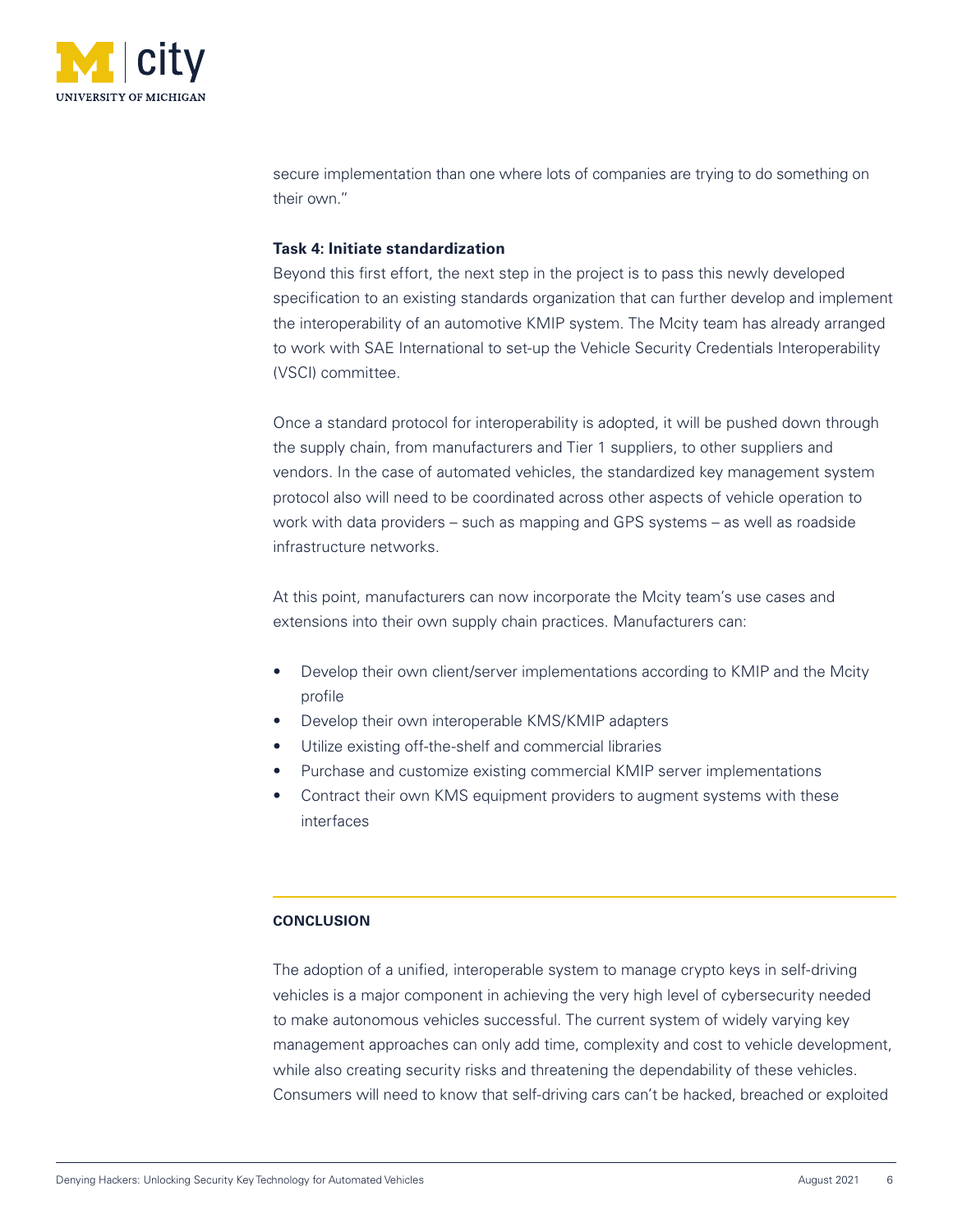

secure implementation than one where lots of companies are trying to do something on their own."

# **Task 4: Initiate standardization**

Beyond this first effort, the next step in the project is to pass this newly developed specification to an existing standards organization that can further develop and implement the interoperability of an automotive KMIP system. The Mcity team has already arranged to work with SAE International to set-up the Vehicle Security Credentials Interoperability (VSCI) committee.

Once a standard protocol for interoperability is adopted, it will be pushed down through the supply chain, from manufacturers and Tier 1 suppliers, to other suppliers and vendors. In the case of automated vehicles, the standardized key management system protocol also will need to be coordinated across other aspects of vehicle operation to work with data providers – such as mapping and GPS systems – as well as roadside infrastructure networks.

At this point, manufacturers can now incorporate the Mcity team's use cases and extensions into their own supply chain practices. Manufacturers can:

- Develop their own client/server implementations according to KMIP and the Mcity profile
- Develop their own interoperable KMS/KMIP adapters
- Utilize existing off-the-shelf and commercial libraries
- Purchase and customize existing commercial KMIP server implementations
- Contract their own KMS equipment providers to augment systems with these interfaces

# **CONCLUSION**

The adoption of a unified, interoperable system to manage crypto keys in self-driving vehicles is a major component in achieving the very high level of cybersecurity needed to make autonomous vehicles successful. The current system of widely varying key management approaches can only add time, complexity and cost to vehicle development, while also creating security risks and threatening the dependability of these vehicles. Consumers will need to know that self-driving cars can't be hacked, breached or exploited